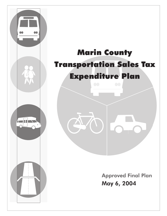

 $\sim$  or  $\sim$ 

May 6, 2004 Approved Final Plan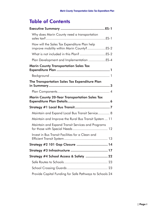# Table of Contents

| Why does Marin County need a transportation                                               |  |
|-------------------------------------------------------------------------------------------|--|
| How will the Sales Tax Expenditure Plan help<br>improve mobility within Marin County?ES-2 |  |
|                                                                                           |  |
| Plan Development and Implementation ES-4                                                  |  |
| <b>Marin County Transportation Sales Tax</b>                                              |  |
|                                                                                           |  |
| The Transportation Sales Tax Expenditure Plan<br>in Summary…………………………………………………………3        |  |
|                                                                                           |  |
| <b>Marin County 20-Year Transportation Sales Tax</b>                                      |  |
|                                                                                           |  |
|                                                                                           |  |
| Maintain and Expand Local Bus Transit Service 8                                           |  |
| Maintain and Improve the Rural Bus Transit System  11                                     |  |
| Maintain and Expand Transit Services and Programs                                         |  |
| Invest in Bus Transit Facilities for a Clean and                                          |  |
| Strategy #2 101 Gap Closure  14                                                           |  |
|                                                                                           |  |
| Strategy #4 School Access & Safety  22                                                    |  |
|                                                                                           |  |
|                                                                                           |  |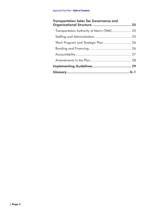| <b>Transportation Sales Tax Governance and</b> |  |
|------------------------------------------------|--|
| Transportation Authority of Marin (TAM) 25     |  |
|                                                |  |
| Work Program and Strategic Plan 26             |  |
|                                                |  |
|                                                |  |
|                                                |  |
|                                                |  |
|                                                |  |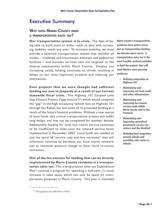# Executive Summary

### WHY DOES MARIN COUNTY NEED <sup>A</sup> TRANSPORTATION SALES TAX?

**Our transportation system is in crisis.** The days of being able to build more or wider roads to deal with increasing mobility needs are over. To maintain mobility, we must provide a balanced transportation system that includes all modes – roadways and transitways, bikeways and pedestrian facilities – and includes services that are targeted to the diverse communities within Marin County. Despite our increasing needs, funding continues to shrink, resulting in delays to our most important projects and reducing our alternatives.

**Even projects that we once thought had sufficient funding are now in jeopardy as a result of our current statewide fiscal crisis.** The Highway 101 Carpool Lane Gap Closure Project ("gap closure")\*, which would complete the "gap" in the high occupancy vehicle lane on Highway 101 through San Rafael, has lost some of its promised funding as a result of the State's financial problems. Without a new source of local funds, this critical transportation project will suffer long delays, and may not be completed for another decade. Additionally, funding for local bus transit service continues to be insufficient to meet even the reduced service levels implemented in November 2003. Local funds are needed to end the spiral of "service cuts and fare increases" that will otherwise continue to decimate our local transit network, just as commute patterns change to favor more in-county commutes.

**One of the few avenues for funding that can be directly implemented by Marin County residents is a transportation sales tax.** This transportation sales tax Expenditure Plan\* outlines a program for spending a half-cent  $(\frac{1}{2})$ -cent) increase in sales taxes, which can only be spent on transportation purposes in Marin County. This plan is intended

Marin County's transportation problems have gotten worse just as transportation funding has become more scarce. A transportation sales tax is the most feasible method available to fund the projects that will meet Marin's most pressing problems:

- Reducing congestion on Highway 101
- Maintaining and improving our local roads and other infrastructure
- Maintaining and improving bus transit services both within Marin County and to San Francisco
- Maintaining and improving specialized paratransit services for seniors and the disabled
- Reducing local congestion around schools and providing safe routes to schools

<sup>\*</sup> See glossary for definition of term.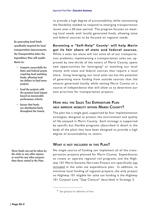to provide a high degree of accountability, while maintaining the flexibility needed to respond to emerging transportation issues over a 20-year period. The program focuses on meeting local needs with locally generated funds, allowing state and federal sources to be focused on regional needs.

By generating local funds specifically targeted for local transportation improvements, the Transportation Sales Tax Expenditure Plan will enable Marin to:

- Compete successfully for State and Federal grants requiring local matching funds, allowing local tax dollars to fund more projects
- Fund the projects with the greatest local impact based on measurable performance criteria
- Ensure that funds are distributed fairly throughout the County

These funds can not be taken by the state or any other agency or used for any other purpose than those stated in the Plan.

**Becoming a "Self-Help" County**\* **will help Marin get its fair share of state and federal sources.** While a sales tax alone will not solve all of our transportation problems, implementing a transportation sales tax, approved by two-thirds of the voters of Marin County, opens new opportunities for leveraging\* or matching our local money with state and federal sources that require a local share. Using leveraging, our local sales tax has the potential of generating more funding from outside sources than the amount generated locally, while setting Marin County on a course of independence that will allow us to determine our own priorities for transportation projects.

### HOW WILL THE SALES TAX EXPENDITURE PLAN HELP IMPROVE MOBILITY WITHIN MARIN COUNTY?

The plan has a single goal, supported by four implementation strategies, designed to protect the environment and quality of life enjoyed in Marin County. Each strategy is supported by specific but flexible programs (described in detail in the body of the plan) that have been designed to provide a high degree of accountability to voters.

### WHAT IS NOT INCLUDED IN THIS PLAN?

No single source of funding can implement all of the transportation projects planned for Marin County. Expenditures to create or operate regional rail programs and the Highway 101 Marin-Sonoma Narrows Project are specifically not included in the sales tax expenditure plan. In addition, to minimize local funding of regional projects, the only project on Highway 101 eligible for sales tax funding is the Highway 101 Carpool Lane "Gap Closure" described in Strategy 2.

<sup>\*</sup> See glossary for definition of term.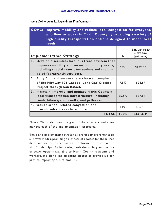| <b>GOAL: Improve mobility and reduce local congestion for everyone</b><br>who lives or works in Marin County by providing a variety of<br>high quality transportation options designed to meet local<br>needs. |       |                                         |
|----------------------------------------------------------------------------------------------------------------------------------------------------------------------------------------------------------------|-------|-----------------------------------------|
| <b>Implementation Strategy</b>                                                                                                                                                                                 | %     | Est. 20-year<br>Revenue<br>(\$Millions) |
| Develop a seamless local bus transit system that<br>$\mathbf{L}$<br>improves mobility and serves community needs,<br>including special transit for seniors and the dis-<br>abled (paratransit services).       | 55%   | \$182.38                                |
| 2.<br>Fully fund and ensure the acclerated completion<br>of the Highway 101 Carpool Lane Gap Closure<br>Project through San Rafael.                                                                            | 7.5%  | \$24.87                                 |
| 3.<br>Maintain, improve, and manage Marin County's<br>local transportation infrastructure, including<br>roads, bikeways, sidewalks, and pathways.                                                              | 26.5% | \$87.87                                 |
| 4. Reduce school related congestion and<br>provide safer access to schools.                                                                                                                                    | 11%   | \$36.48                                 |
| <b>TOTAL</b>                                                                                                                                                                                                   | 100%  | \$331.6 M                               |

Figure ES-1 articulates the goal of the sales tax and summarizes each of the implementation strategies.

The plan's implementing strategies provide improvements to all travel modes, providing a richness of choices for those that drive and for those that cannot (or choose not to) drive for all of their trips. By increasing both the variety and quality of travel options available to Marin County residents and workers, the plan's implementing strategies provide a clear path to improving future mobility.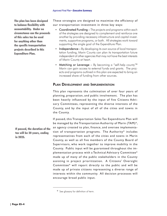The plan has been designed to balance flexibility with accountability. Under no circumstance can the proceeds of this sales tax be used for anything other than the specific transportation projects described in this Expenditure Plan.

These strategies are designed to maximize the efficiency of our transportation investment in three key ways:

- Coordinated Funding The projects and programs within each of the strategies are designed to complement and reinforce one another by providing necessary infrastructure and capital investments, supportive programs, or both. All strategies work toward supporting the single goal of the Expenditure Plan.
- Independence By developing its own source of local transportation funding, Marin County can plan its transportation future independent of other agencies that may not have the best interests of Marin County at heart.
- Matching or Leverage By becoming a "self-help county"\* Marin can gain access to external funds and grants. The projects and programs outlined in this plan are expected to bring an increased share of funding from other sources.

### PLAN DEVELOPMENT AND IMPLEMENTATION

This plan represents the culmination of over four years of planning, preparation, and public involvement. The plan has been heavily influenced by the input of five Citizens Advisory Committees, representing the diverse interests of the County, and by the input of all of the cities and towns in the County.

If passed, this Transportation Sales Tax Expenditure Plan will be managed by the Transportation Authority of Marin (TAM)\*, an agency created to plan, finance, and oversee implementation of transportation programs. The Authority\* includes representatives from each of the cities and towns in Marin County, as well as all five members of the County Board of Supervisors, who work together to improve mobility in the County. Public input will be guaranteed throughout the implementation process with a Technical Advisory Committee\* made up of many of the public stakeholders in the County assisting in project prioritization. A Citizens' Oversight Committee\* will report directly to the public and will be made up of private citizens representing a diverse range of interests within the community. All decision processes will encourage broad public input.

If passed, the duration of the tax will be 20 years, ending in 2025.

<sup>\*</sup> See glossary for definition of term.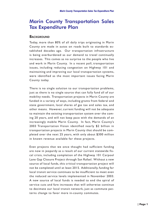# Marin County Transportation Sales Tax Expenditure Plan

#### **BACKGROUND**

Today, more than 80% of all daily trips originating in Marin County are made in autos on roads built to standards established decades ago. Our transportation infrastructure is being overburdened as our demand to travel continually increases. This comes as no surprise to the people who live and work in Marin County. In a recent poll, transportation issues, including reducing congestion on Highway 101 and maintaining and improving our local transportation systems, were identified as the most important issues facing Marin County today.

There is no single solution to our transportation problems, just as there is no single source that can fully fund all of our mobility needs. Transportation projects in Marin County are funded in a variety of ways, including grants from federal and state government, local shares of gas tax and sales tax, and other means. However, current funding will not be adequate to maintain the existing transportation system over the coming 20 years, and will not keep pace with the demands of an increasingly mobile Marin County. In fact, Marin County's 2003 Transportation Vision identified nearly \$2 billion in transportation projects in Marin County that should be completed over the next 25 years, with only about \$300 million in known revenue available for these projects.

Even projects that we once thought had sufficient funding are now in jeopardy as a result of our current statewide fiscal crisis, including completion of the Highway 101 Carpool Lane Gap Closure Project through San Rafael. Without a new source of local funds, this critical transportation project will not be completed until at least 2015. Additionally, funding for local transit service continues to be insufficient to meet even the reduced service levels implemented in November 2003. A new source of local funds is needed to end the spiral of service cuts and fare increases that will otherwise continue to decimate our local transit network, just as commute patterns change to favor more in-county commutes.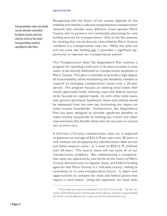#### *Approved Final Plan*

Transportation sales tax funds can be directly controlled by Marin County and can only be used on the local transportation projects specified in this Plan.

Recognizing that the future of our county depends on the mobility provided by a safe and comprehensive transportation network that includes many different travel options, Marin County and its partners are continually advocating for new funding sources for transportation. One of the few avenues for funding that can be directly controlled by Marin County residents is a transportation sales tax. While the sales tax will not close the funding gap, it provides a significant opportunity to improve our transportation system.

This Transportation Sales Tax Expenditure Plan outlines a program for spending a half-cent (1/2-cent) increase in sales taxes, to be entirely dedicated to transportation purposes in Marin County. This plan is intended to provide a high degree of accountability, while maintaining the flexibility needed to respond to emerging transportation issues over a 20-year period. The program focuses on meeting local needs with locally generated funds, allowing state and federal sources to be focused on regional needs. As with other sales taxes, rent, grocery purchases, healthcare, water, and utilities would be exempted from the new tax, minimizing the impact on lower-income households. Furthermore, this Expenditure Plan has been designed to provide significant benefits to lower-income households by funding bus transit and other improvements that benefit those who do not own or choose not to drive cars.

A half-cent (1/2-cent) transportation sales tax is expected to generate an average of \$16.5 M per year over 20 years in new revenue, net of expenses for administration, debt service and bond issuance costs,<sup>1</sup> or a total of  $$331.6$  M (million) over 20 years. This source alone will not solve all of our transportation problems. But, implementing a transportation sales tax, approved by two-thirds of the voters of Marin County, demonstrates to regional, State, and Federal funding agencies that Marin County is a "self-help county," willing to contribute to its own transportation future. It opens new opportunities to compete for state and federal grants that require a local match. Using this approach, our local sales

<sup>&</sup>lt;sup>1</sup> Gross sales tax revenue is estimated to be \$19.6 M annually. The Plan assumes a \$30 M bond issue in the first year of the sales tax, resulting in approximately \$2.65 M in annual debt service, and an annual 5% administration cost.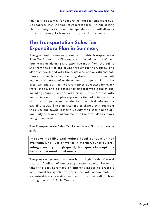tax has the potential for generating more funding from outside sources than the amount generated locally, while setting Marin County on a course of independence that will allow us to set our own priorities for transportation projects.

## The Transportation Sales Tax Expenditure Plan in Summary

The goal and strategies presented in this Transportation Sales Tax Expenditure Plan represent the culmination of over four years of planning and extensive input from the public and from the cities and towns throughout the County. The plan was developed with the assistance of five Citizens' Advisory Committees, representing diverse interests, including representatives of environmental groups, social justice organizations, business representatives, advocates for every travel mode, and advocates for underserved populations, including seniors, persons with disabilities, and those with limited incomes. The plan represents the collective wisdom of those groups, as well as the best technical information available today. The plan was further shaped by input from the cities and towns in Marin County, who each had an opportunity to review and comment on the draft plan as it was being completed.

The Transportation Sales Tax Expenditure Plan has a single goal:

**Improve mobility and reduce local congestion for everyone who lives or works in Marin County by providing a variety of high quality transportation options designed to meet local needs.**

The plan recognizes that there is no single mode of travel that can fulfill all of our transportation needs. Rather, it takes the best advantage of different modes to create a multi-modal transportation system that will improve mobility for auto drivers, transit riders, and those that walk or bike throughout all of Marin County.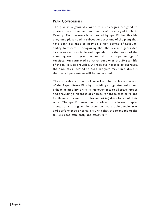### PLAN COMPONENTS

The plan is organized around four strategies designed to protect the environment and quality of life enjoyed in Marin County. Each strategy is supported by specific but flexible programs (described in subsequent sections of the plan) that have been designed to provide a high degree of accountability to voters. Recognizing that the revenue generated by a sales tax is variable and dependent on the health of the economy, each program has been allocated a percentage of receipts. An estimated dollar amount over the 20-year life of the tax is also provided. As receipts increase or decrease, the amounts allocated to each program may fluctuate, but the overall percentage will be maintained.

The strategies outlined in Figure 1 will help achieve the goal of the Expenditure Plan by providing congestion relief and enhancing mobility, bringing improvements to all travel modes and providing a richness of choices for those that drive and for those who cannot (or choose not to) drive for all of their trips. The specific investment choices made in each implementation strategy will be based on measurable benchmarks and performance criteria, ensuring that the proceeds of the tax are used efficiently and effectively.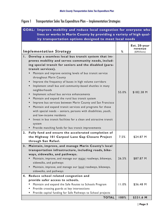## Figure 1 Transportation Sales Tax Expenditure Plan – Implementation Strategies

|                | GOAL: Improve mobility and reduce local congestion for everyone who      |       |                                         |
|----------------|--------------------------------------------------------------------------|-------|-----------------------------------------|
|                | lives or works in Marin County by providing a variety of high qual-      |       |                                         |
|                | ity transportation options designed to meet local needs                  |       |                                         |
|                | <b>Implementation Strategy</b>                                           | %     | Est. 20-year<br>revenue<br>(\$Millions) |
| $\mathsf{I}$ . | Develop a seamless local bus transit system that im-                     |       |                                         |
|                | proves mobility and serves community needs, includ-                      |       |                                         |
|                | ing special transit for seniors and the disabled (para-                  |       |                                         |
|                | transit services).                                                       |       |                                         |
|                | Maintain and improve existing levels of bus transit service              |       |                                         |
|                | throughout Marin County                                                  |       |                                         |
|                | Improve the frequency of buses in high volume corridors<br>$\bullet$     |       |                                         |
|                | Implement small bus and community-based shuttles in many<br>$\bullet$    |       |                                         |
|                | neighborhoods                                                            | 55.0% | \$182.38 M                              |
|                | Implement school bus service enhancements                                |       |                                         |
|                | Maintain and expand the rural bus transit system<br>$\bullet$            |       |                                         |
|                | Improve bus services between Marin County and San Francisco              |       |                                         |
|                | Maintain and expand transit services and programs for those              |       |                                         |
|                | with special needs - seniors, persons with disabilities, youth,          |       |                                         |
|                | and low-income residents                                                 |       |                                         |
|                | Invest in bus transit facilities for a clean and attractive transit      |       |                                         |
|                | system                                                                   |       |                                         |
|                | Provide matching funds for bus transit improvements<br>$\bullet$         |       |                                         |
| 2.             | Fully fund and ensure the accelerated completion of                      |       |                                         |
|                | the Highway 101 Carpool Lane Gap Closure Project                         | 7.5%  | \$24.87 M                               |
|                | through San Rafael.                                                      |       |                                         |
| 3.             | Maintain, improve, and manage Marin County's local                       |       |                                         |
|                | transportation infrastructure, including roads, bike-                    |       |                                         |
|                | ways, sidewalks, and pathways.                                           |       |                                         |
|                | Maintain, improve, and manage our major roadways, bikeways,              | 26.5% | \$87.87 M                               |
|                | sidewalks, and pathways                                                  |       |                                         |
|                | Maintain, improve, and manage our local roadways, bikeways,<br>$\bullet$ |       |                                         |
|                | sidewalks, and pathways                                                  |       |                                         |
| 4.             | Reduce school related congestion and                                     |       |                                         |
|                | provide safer access to schools.                                         |       |                                         |
|                | Maintain and expand the Safe Routes to Schools Program                   | 11.0% | \$36.48 M                               |
|                | Provide crossing guards at key intersections                             |       |                                         |
|                | Provide capital funding for Safe Pathways to School projects             |       |                                         |
|                | <b>TOTAL</b>                                                             | 100%  | \$331.6 M                               |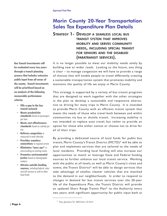## Marin County 20-Year Transportation Sales Tax Expenditure Plan Details

### STRATEGY 1- DEVELOP A SEAMLESS LOCAL BUS TRANSIT SYSTEM THAT IMPROVES MOBILITY AND SERVES COMMUNITY NEEDS, INCLUDING SPECIAL TRANSIT FOR SENIORS AND THE DISABLED (PARATRANSIT SERVICES).

It is no longer possible to meet our mobility needs solely by building new or wider roads. Looking to the future, one thing is clear – to manage congestion we will have to provide a range of choices that will enable people to travel differently, creating a sustainable transportation system that promotes mobility and maintains the quality of life we enjoy in Marin County.

This strategy is supported by a variety of bus transit programs that are designed to work together with the other strategies in the plan to develop a sustainable and responsive alternative to driving for many trips in Marin County. It is intended to provide Marin County with an efficient transit system that meets the needs of those who travel both between and within communities via bus or shuttle transit. Increasing mobility is not intended to replace auto travel, but rather to provide an option for those who either cannot or choose not to drive for all of their trips.

By providing a dedicated source of local funds for public bus transit, Marin County's Transit District (MCTD)\* will be able to plan and implement services that are tailored to the needs of local residents. Providing local funding will also increase our opportunities to match or leverage State and Federal funding sources to further enhance our local transit service. Working with the public at all levels, as well as Marin County's cities and towns, the Transit District\* will be able to design services that take advantage of smaller, cleaner vehicles that are matched to the demand in our neighborhoods. In order to respond to changes in demand for bus transit services over the 20-year life of the Expenditure Plan, the Transit District will provide an updated Short Range Transit Plan\* to the Authority every two years, with significant opportunity for public input both at

Bus Transit investments will be evaluated every two years through a transit planning process that includes extensive public input from all areas of the county. Transit investments will be prioritized based on an analysis of the following measurable performance criteria:

- Fills a gap in the bus transit network
- Meets productivity standards based on passengers per hour
- Meets cost effectiveness standards based on subsidy per trip
- Relieves congestion as measured in total ridership
- Provides seamless connections to regional service
- Eliminates "pass ups" or overcrowding on existing routes
- Promotes environmental justice based on demographic analysis
- Attracts outside funding sources, including federal, state and toll revenue as well as other local funds

<sup>\*</sup> See glossary for definition of term.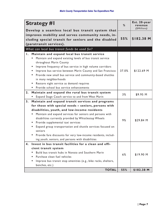| <b>Strategy #1</b>                                                                                    | %     | Est. 20-year<br>revenue<br>(\$Millions) |
|-------------------------------------------------------------------------------------------------------|-------|-----------------------------------------|
| Develop a seamless local bus transit system that<br>improves mobility and serves community needs, in- |       |                                         |
| cluding special transit for seniors and the disabled                                                  | 55%   | \$182.38 M                              |
| (paratransit services).                                                                               |       |                                         |
| What can local bus transit funds be used for?                                                         |       |                                         |
|                                                                                                       |       |                                         |
| Maintain and expand local bus transit service<br>Ι.                                                   |       |                                         |
| Maintain and expand existing levels of bus transit service<br>throughout Marin County                 |       |                                         |
| Improve frequency of bus service in high volume corridors                                             |       |                                         |
| Improve bus service between Marin County and San Francisco                                            | 37.0% | \$122.69 M                              |
| Provide new small bus service and community-based shuttles                                            |       |                                         |
| in many neighborhoods                                                                                 |       |                                         |
| Restore night service as demand requires                                                              |       |                                         |
| Provide school bus service enhancements                                                               |       |                                         |
| 2.<br>Maintain and expand the rural bus transit system                                                |       |                                         |
| Expand Stage Coach service to and from West Marin                                                     | 3%    | \$9.95 M                                |
| 3.<br>Maintain and expand transit services and programs                                               |       |                                         |
| for those with special needs - seniors, persons with                                                  |       |                                         |
| disabilities, youth, and low-income residents                                                         |       |                                         |
| Maintain and expand services for seniors and persons with                                             |       |                                         |
| disabilities currently provided by Whistlestop Wheels                                                 | 9%    | \$29.84 M                               |
| Provide supplemental taxi services                                                                    |       |                                         |
| Expand group transportation and shuttle services focused on                                           |       |                                         |
| seniors                                                                                               |       |                                         |
| Provide fare discounts for very low-income residents, includ-                                         |       |                                         |
| ing youth, seniors, and persons with disabilities                                                     |       |                                         |
| Invest in bus transit facilities for a clean and effi-<br>4.                                          |       |                                         |
| cient transit system                                                                                  |       |                                         |
| Build bus transit hubs in Novato and Southern Marin                                                   | 6%    | \$19.90 M                               |
| Purchase clean fuel vehicles                                                                          |       |                                         |
| Improve bus transit stop amenities (e.g., bike racks, shelters,                                       |       |                                         |
| benches, etc.)                                                                                        |       |                                         |
| <b>TOTAL</b>                                                                                          | 55%   | \$182.38 M                              |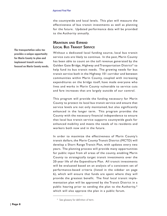the countywide and local levels. This plan will measure the effectiveness of bus transit investments as well as planning for the future. Updated performance data will be provided to the Authority annually.

### MAINTAIN AND EXPAND LOCAL BUS TRANSIT SERVICE

Without a dedicated local funding source, local bus transit service cuts are likely to continue. In the past, Marin County has been able to count on the toll revenue generated by the Golden Gate Bridge, Highway and Transportation District\* to help fund its bus transit needs. The growing needs for bus transit service both in the Highway 101 corridor and between communities within Marin County, coupled with increasing expenditures on the bridge itself, have made everyone who lives and works in Marin County vulnerable to service cuts and fare increases that are largely outside of our control.

This program will provide the funding necessary for Marin County to protect its local bus transit service and ensure that service levels are not only maintained, but also significantly enhanced in the longer term. This program provides the County with the necessary financial independence to ensure that local bus transit service supports countywide goals for enhanced mobility and meets the needs of its residents and workers both now and in the future.

In order to maximize the effectiveness of Marin County's transit dollars, the Marin County Transit District (MCTD) will develop a Short Range Transit Plan, with updates every two years. The planning process will provide many opportunities for public input from all areas of the county, enabling Marin County to strategically target transit investments over the 20-year life of the Expenditure Plan. All transit investments will be evaluated based on an analysis of a consistent set of performance-based criteria (listed in the sidebar on page 6), which will ensure that funds are spent where they will provide the greatest benefit. The final local transit implementation plan will be approved by the Transit District in a public hearing prior to sending the plan to the Authority,\* which will also approve the plan in a public forum.

\* See glossary for definition of term.

The transportation sales tax provides a unique opportunity for Marin County to plan and implement transit services focused on Marin County needs.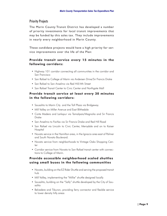### **Priority Projects**

The Marin County Transit District has developed a number of priority investments for local transit improvements that may be funded by this sales tax. They include improvements in nearly every neighborhood in Marin County.

These candidate projects would have a high priority for service improvements over the life of the Plan:

### **Provide transit service every 15 minutes in the following corridors:**

- Highway 101 corridor connecting all communities in the corridor and San Francisco
- San Rafael to College of Marin via Andersen Drive/Sir Francis Drake
- San Rafael to San Anselmo via Red Hill/4th Street
- San Rafael Transit Center to Civic Center and Northgate Mall

### **Provide transit service at least every 30 minutes in the following corridors:**

- Sausalito to Marin City and the Toll Plaza via Bridgeway
- Mill Valley on Miller Avenue and East Blithedale
- Corte Madera and Larkspur via Tamalpais/Magnolia and Sir Francis Drake
- San Anselmo to Fairfax via Sir Francis Drake and Red Hill Road
- San Rafael via Lincoln to Civic Center, Merrydale and on to Kaiser **Hospital**
- Novato service in the Hamilton area, in the Ignacio area east of Palmer and South Novato Boulevard.
- Novato service from neighborhoods to Vintage Oaks Shopping Center
- Corridor service from Novato to San Rafael transit center with connections to College of Marin.

### **Provide accessible neighborhood scaled shuttles using small buses in the following communities**

- Novato, building on the EZ Rider Shuttle and serving the proposed transit hub
- Mill Valley, implementing the "Millie" shuttle designed locally
- Sausalito, building on the "Sally" shuttle developed by the City of Sausalito
- Belvedere and Tiburon, providing ferry connector and flexible service to lower density hilly areas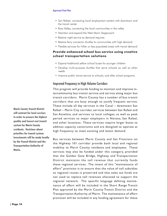#### *Approved Final Plan*

- San Rafael, connecting local employment centers with downtown and the transit center
- Ross Valley, connecting the local communities in the valley
- Maintain and expand the West Marin Stagecoach
- Restore night service as demand requires
- Restore ferry connector shuttles to communities with high demand
- Flexible services for hillier or less populated areas with transit demand

### **Provide enhanced school bus service using creative school transportation solutions**

- Expand traditional yellow school buses for younger children
- Develop multi-purpose shuttles that serve schools as well as other needs
- Improve public transit service to schools, and after school programs

### Improved Frequency in High Volume Corridors

This program will provide funding to maintain and improve intercommunity bus transit service and service along major bus transit corridors. Marin County has a number of bus transit corridors that are busy enough to justify frequent service. These include all day services in the Canal – downtown San Rafael – Marin City corridor, services between San Rafael and San Anselmo, and services to local colleges, as well as peak period services to major employers in Novato, San Rafael, and other locations. These services require larger buses to address capacity constraints and are designed to operate at high frequency to meet existing and latent demand.

Bus services between Marin County and San Francisco on the Highway 101 corridor provide both local and regional mobility to Marin County residents and employees. These services may also be funded under this category, provided that the Golden Gate Bridge, Highway and Transportation District maintains the toll revenue that currently funds these regional services. The intent of this "maintenance of effort" provision is to ensure that the value of toll subsidies to regional routes is preserved and that sales tax funds are not used to replace toll revenues allocated to support the regional network. The specific language defining maintenance of effort will be included in the Short Range Transit Plan approved by the Marin County Transit District and the Transportation Authority of Marin. The maintenance of effort provision will be included in any funding agreement for these

Marin County Transit District will contract for local services in order to procure the highest quality and lowest cost transit system for Marin County residents. Decisions about priorities for transit system investments will be made locally by the Transit District and the Transportation Authority of Marin.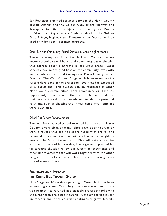San Francisco oriented services between the Marin County Transit District and the Golden Gate Bridge Highway and Transportation District, subject to approval by both Boards of Directors. Any sales tax funds provided to the Golden Gate Bridge, Highway and Transportation District will be used only for specific transit purposes.

### Small Bus and Community-Based Services in Many Neighborhoods

There are many transit markets in Marin County that are better served by small buses and community-based shuttles that address specific markets in less urban areas. Local services may be designed best on the community level, with implementation provided through the Marin County Transit District. The West County Stagecoach is an example of a system developed at the grassroots level that has exceeded all expectations. This success can be replicated in other Marin County communities. Each community will have the opportunity to work with the Transit District to define their greatest local transit needs and to identify potential solutions, such as shuttles and jitneys using small, efficient transit vehicles.

### School Bus Service Enhancements

The need for enhanced school-oriented bus services in Marin County is very clear, as many schools are poorly served by transit routes that are not coordinated with arrival and dismissal times and that do not reach into the neighborhoods. The Short Range Transit Plan will take a creative approach to school bus service, investigating opportunities for targeted shuttles, yellow bus system enhancements, and other improvements that will work together with the other programs in this Expenditure Plan to create a new generation of transit riders.

### MAINTAIN AND IMPROVE THE RURAL BUS TRANSIT SYSTEM

"The Stagecoach" service operating in West Marin has been an amazing success. What began as a one-year demonstration project has resulted in a sizeable grassroots following and higher-than-projected ridership. Although service is very limited, demand for this service continues to grow. Despite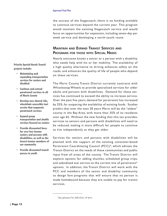the success of the Stagecoach, there is no funding available to continue services beyond the current year. This program would maintain the existing Stagecoach service and would focus on opportunities for expansion, including seven-day per week service and developing a north-south route.

### MAINTAIN AND EXPAND TRANSIT SERVICES AND PROGRAMS FOR THOSE WITH SPECIAL NEEDS

Nearly everyone knows a senior or a person with a disability who needs help with his or her mobility. The availability of a high quality alternative to driving enhances safety on the roads, and enhances the quality of life of people who depend on these services.

The Marin County Transit District currently contracts with Whistlestop Wheels to provide specialized services for older adults and persons with disabilities. Demand for these services has continued to exceed the ability to increase service. Over the past five years, demand for paratransit has increased by 25%, far outpacing the availability of existing funds. Studies predict that over the next 20 years Marin will be the "oldest" county in the Bay Area, with more than 35% of its residents over age 65. Without the new funding that this tax provides, services to seniors and persons with disabilities will need to be reduced, making it more difficult for people to continue to live independently as they get older.

Services for seniors and persons with disabilities will be planned with the support of the existing consumer-based Paratransit Coordinating Council (PCC)\*, which advises the Transit District on the needs of these communities and public input from all areas of the county. The Transit District will explore options for adding shuttles, scheduled group trips, and subsidized taxi service to the current mix of paratransit\* options. In addition, the Transit District will work with the PCC and members of the senior and disability community to design fare programs that will ensure that no person is made homebound because they are unable to pay for transit services.

Priority Special Needs Transit projects include:

- Maintaining and expanding transportation services for seniors and disabled
- Continue and extend paratransit services to all of Marin County
- Develop new shared ride, wheelchair accessible taxi service that augments paratransit services
- Expand group transportation and shuttle services focused on seniors
- Provide discounted fares for very low-income seniors and persons with disabilities, as well as the lowest income members of our community
- Provide discounted transit passes to youth

<sup>\*</sup> See glossary for definition of term.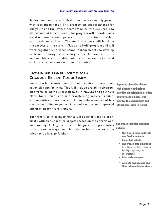Seniors and persons with disabilities are not the only groups with specialized needs. This program includes assistance for our youth and the lowest income families who are unable to afford current transit fares. This program will provide funds for discounted transit passes for youth, seniors, disabled, and low-income riders. The youth discounts will build on the success of the current "Ride and Roll" program and will work together with other school enhancements to develop early and life-long transit riding habits. Discounts to lowincome riders will provide mobility and access to jobs and basic services to those with no alternative.

### INVEST IN BUS TRANSIT FACILITIES FOR <sup>A</sup> CLEAN AND EFFICIENT TRANSIT SYSTEM

Innovative bus transit operation will require an investment in vehicles and facilities. This will include providing clean-fueled vehicles, new bus transit hubs in Novato and Southern Marin for efficient and safe transferring between routes, and amenities at bus stops, including enhancements of bus stop accessibility to pedestrians and cyclists and improved information for transit riders.

Bus transit facilities investments will be prioritized to coordinate with transit service projects based on the criteria outlined on page 6. High priority will be given to opportunities to match or leverage funds in order to help transportation sales tax dollars go farther.

Replacing older diesel buses with clean fuel technology, including electric hybrid or other alternative fuel buses, will improve the environment and attract new riders to transit.

Bus Transit Facilities priorities include:

- Bus transit hubs in Novato and Southern Marin
- Clean fuel vehicles
- Bus transit stop amenities (e.g., bike racks, shelters, benches, lighting, pay phones, access improvements)
- Bike racks on buses
- Accurate signage and realtime information for riders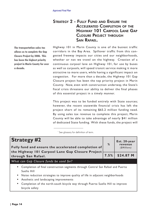## STRATEGY 2 - FULLY FUND AND ENSURE THE ACCELERATED COMPLETION OF THE HIGHWAY 101 CARPOOL LANE GAP CLOSURE PROJECT THROUGH SAN RAFAEL.

The transportation sales tax allows us to complete the Gap Closure Project by 2008. This has been the highest priority project in Marin County for over a decade.

Highway 101 in Marin County is one of the busiest traffic corridors in the Bay Area. Spillover traffic from this congested freeway impacts our cities and our neighborhoods, whether or not we travel on the highway. Creation of a continuous carpool lane on Highway 101, for use by buses as well as carpools, will speed transit service making it more attractive to more users, while having a significant impact on congestion. For more than a decade, the Highway 101 Gap Closure project has been the top priority project in Marin County. Now, even with construction underway, the State's fiscal crisis threatens our ability to deliver the final phases of this essential project in a timely manner.

This project was to be funded entirely with State sources; however, the recent statewide financial crisis has left the project short of its remaining \$65.2 million funding need. By using sales tax revenue to complete this project, Marin County will be able to take advantage of nearly \$41 million of dedicated State funding. With these funds, the project will

\* See glossary for definition of term.

| <b>Strategy #2</b><br>%<br>Fully fund and ensure the accelerated completion of                                                                                                                                                                                                                                              |      | Est. 20-year<br>revenue<br>(\$Millions) |
|-----------------------------------------------------------------------------------------------------------------------------------------------------------------------------------------------------------------------------------------------------------------------------------------------------------------------------|------|-----------------------------------------|
| the Highway 101 Carpool Lane Gap Closure Project                                                                                                                                                                                                                                                                            | 7.5% | \$24.87 M                               |
| through San Rafael.                                                                                                                                                                                                                                                                                                         |      |                                         |
| What can Gap Closure funds be used for?                                                                                                                                                                                                                                                                                     |      |                                         |
| Completion of final construction segments through Central San Rafael and Puerto<br>Suello Hill<br>Noise reduction strategies to improve quality of life in adjacent neighborhoods<br>$\bullet$<br>Aesthetic and landscaping improvements<br>Completion of the north-south bicycle way through Puerto Suello Hill to improve |      |                                         |
| bicycle safety                                                                                                                                                                                                                                                                                                              |      |                                         |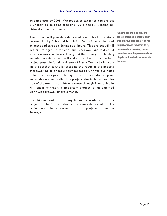be completed by 2008. Without sales tax funds, the project is unlikely to be completed until 2015 and risks losing additional committed funds.

The project will provide a dedicated lane in both directions between Lucky Drive and North San Pedro Road, to be used by buses and carpools during peak hours. This project will fill in a critical "gap" in the continuous carpool lane that could speed carpools and buses throughout the County. The funding included in this project will make sure that this is the best project possible for all residents of Marin County by improving the aesthetics and landscaping and reducing the impacts of freeway noise on local neighborhoods with various noise reduction strategies, including the use of sound-absorptive materials on soundwalls. The project also includes completion of the north-south bicycle route through Puerto Suello Hill, ensuring that this important project is implemented along with freeway improvements.

If additional outside funding becomes available for this project in the future, sales tax revenues dedicated to this project would be redirected to transit projects outlined in Strategy 1.

Funding for the Gap Closure project includes elements that will improve this project in the neighborhoods adjacent to it, including landscaping, noise reduction, and improvements to bicycle and pedestrian safety in the area.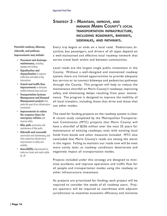## STRATEGY 3 - MAINTAIN, IMPROVE, AND MANAGE MARIN COUNTY'S LOCAL TRANSPORTATION INFRASTRUCTURE, INCLUDING ROADWAYS, BIKEWAYS, SIDEWALKS, AND PATHWAYS.

Every trip begins or ends on a local road. Pedestrians, bicyclists, bus passengers, and drivers of all types depend on a well-maintained and effective local roadway network that serves travel both within and between communities.

Local roads are the largest single public investment in the County. Without a well-designed and maintained roadway system, there are limited opportunities to provide adequate bus service or to connect bikeways and pedestrian pathways through the County. This program will help to reduce the maintenance shortfall on Marin County's roadways, improving safety and eliminating delays resulting from poor maintenance. The program is designed to improve the mobility of all local travelers, including those that drive and those that use other modes.

The need for funding projects on the roadway system is clear. A recent study completed by the Metropolitan Transportation Commission (MTC) projects that Marin County will have a shortfall of \$256 million over the next 25 years for maintenance of existing roadways, even with existing local funds from bonds and other measures included. MTC also concluded that Marin County's roads are among the worst in the region. Failing to maintain our roads now will be even more costly later, as roadway conditions deteriorate and negatively impact all transportation modes.

Projects included under this strategy are designed to minimize accidents, and improve operations and traffic flow for all people and transportation modes using the roadway or other infrastructure investment.

As projects are prioritized for funding, each project will be required to consider the needs of all roadway users. Project sponsors will be required to coordinate with adjacent jurisdictions to maximize economic efficiency and minimize

Potential roadway, bikeway, sidewalk, and pathway improvements may include:

- Pavement and drainage maintenance, including signage and striping
- Signalization and channelization to improve traffic flow and safety at key intersections
- Transit and traffic flow **improvements** to eliminate conflicts between buses and cars
- Transportation Systems Management and Demand **Management projects that** make the most of our infrastructure investments
- Improvements to reduce the response times for emergency vehicles and improve safety
- **Bike path** construction and maintenance of bike paths
- **Sidewalk and crosswalk** construction and maintenance, and other pedestrian infrastructure improvements to safety and mobility
- Accessibility improvements to make our streets and roads usable by all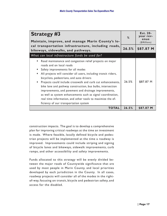| <b>Strategy #3</b><br>Maintain, improve, and manage Marin County's lo-                                                                                                                                                                                                                                                                                                                                                                                                                                                                                                                                                           | %     | Est. 20-<br>year rev-<br>enue<br>(\$Millions) |
|----------------------------------------------------------------------------------------------------------------------------------------------------------------------------------------------------------------------------------------------------------------------------------------------------------------------------------------------------------------------------------------------------------------------------------------------------------------------------------------------------------------------------------------------------------------------------------------------------------------------------------|-------|-----------------------------------------------|
| cal transportation infrastructure, including roads,<br>bikeways, sidewalks, and pathways.                                                                                                                                                                                                                                                                                                                                                                                                                                                                                                                                        | 26.5% | \$87.87 M                                     |
| What can local infrastructure funds be used for?                                                                                                                                                                                                                                                                                                                                                                                                                                                                                                                                                                                 |       |                                               |
| Road maintenance and congestion relief projects on major<br>$\bullet$<br>roads and on local roads<br>Safety improvements for all modes<br>All projects will consider all users, including transit riders,<br>$\bullet$<br>bicyclists, pedestrians, and auto drivers<br>Projects could include crosswalk and curb cut enhancements,<br>bike lane and pathway construction, bus bulbs, intersection<br>improvements, and pavement and drainage improvements,<br>as well as system enhancements such as signal coordination,<br>real time information, and other tools to maximize the ef-<br>ficiency of our transportation system | 26.5% | \$87.87 M                                     |
| TOTAL                                                                                                                                                                                                                                                                                                                                                                                                                                                                                                                                                                                                                            | 26.5% | \$87.87 M                                     |

construction impacts. The goal is to develop a comprehensive plan for improving critical roadways at the time an investment is made. Where feasible, locally defined bicycle and pedestrian projects will be implemented at the time a roadway is improved. Improvements could include striping and signing of bicycle lanes and bikeways, sidewalk improvements, curb ramps, and other accessibility and safety improvements.

Funds allocated to this strategy will be evenly divided between the major roads of Countywide significance that are used by most people in Marin County, and local priorities developed by each jurisdiction in the County. In all cases, roadway projects will consider all of the modes in the rightof-way, focusing on transit, bicycle and pedestrian safety, and access for the disabled.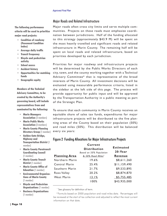### Major Roads and Related Infrastructure

The following performance criteria will be used to prioritize major road projects:

- Condition of roadway (Pavement Condition Index)
- Average daily traffic
- Transit frequency
- Bicycle and pedestrian activity
- School access
- **Accident history**
- Opportunities for matching funds
- **Geographic equity**

Members of the Technical Advisory Committee, to be created by the Authority's governing board, will include representatives from and nominated by the following:

- Marin Managers **Association** (2 members)
- Marin Public Works **Association** (3 members)
- Marin County Planning Directors Group (1 member)
- Golden Gate Bridge, Highway and Transportation District (1 member)
- Marin County Paratransit Coordinating Council (1 member)
- Marin County Transit District (1 member)
- Marin County Office of **Education** (1 member)
- Environmental Organizations of Marin County (1 member)
- **Bicycle and Pedestrian Organizations (1 member)**
- Business Organizations (1 member)

Major roads often cross city limits and serve multiple communities. Projects on these roads must emphasize coordination between jurisdictions. Half of the funding allocated to this strategy (approximately \$43.9 M) will be spent on the most heavily travelled and significant roads and related infrastructure in Marin County. The remaining half will be spent on local roads and related infrastructure, based on priorities developed by each jurisdiction.

Priorities for major roadway and infrastructure projects will be determined by the Public Works Directors of each city, town, and the county working together with a Technical Advisory Committee\* that is representative of the broad interests of Marin County. All investment decisions will be evaluated using measurable performance criteria, listed in the sidebar at the left side of this page. The process will provide opportunity for public input and will be approved by the Transportation Authority in a public meeting as part of the Strategic Plan.

To ensure that each community in Marin County receives an equitable share of sales tax funds, expenditures for major infrastructure projects will be distributed to the five planning areas of the County based on their population (50%) and road miles (50%). This distribution will be balanced every six years:

#### Figure 2 Funding Allocations for Major Infrastructure Projects

|                      | Current<br><b>Distribution</b><br>Based on 50% Population | <b>Estimated</b><br>20-Year |
|----------------------|-----------------------------------------------------------|-----------------------------|
| <b>Planning Area</b> | & 50% Road Miles <sup>2</sup>                             | Revenue                     |
| Northern Marin       | 19.6%                                                     | \$8,611,260                 |
| Central Marin        | 25.4%                                                     | \$11,159,490                |
| Southern Marin       | 21.7%                                                     | \$9,533,895                 |
| Ross Valley          | 20.2%                                                     | \$8,874,870                 |
| <b>West Marin</b>    | 13.1%                                                     | \$5,755,485                 |
|                      | 100%                                                      | \$43,935,000                |

\* See glossary for definition of term.

*<sup>2</sup>*Formula based on 2000 population and road miles data. Percentages will be reviewed at the start of tax collection and adjusted to reflect the most current information on that date.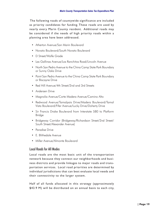The following roads of countywide significance are included as priority candidates for funding. These roads are used by nearly every Marin County resident. Additional roads may be considered if the needs of high priority roads within a planning area have been addressed.

- Atherton Avenue/San Marin Boulevard
- Novato Boulevard/South Novato Boulevard
- D Street/Wolfe Grade
- Las Gallinas Avenue/Los Ranchitos Road/Lincoln Avenue
- North San Pedro Avenue to the China Camp State Park Boundary or Sunny Oaks Drive
- Point San Pedro Avenue to the China Camp State Park Boundary or Biscayne Drive
- Red Hill Avenue/4th Street/2nd and 3rd Streets
- Andersen Drive
- Magnolia Avenue/Corte Madera Avenue/Camino Alto
- Redwood Avenue/Tamalpais Drive/Madera Boulevard/Tamal Vista Boulevard/Fifer Avenue/Lucky Drive/Doherty Drive
- Sir Francis Drake Boulevard from Interstate 580 to Platform Bridge
- Bridgeway Corridor (Bridgeway/Richardson Street/2nd Street/ South Street/Alexander Avenue)
- Paradise Drive
- E. Blithedale Avenue
- Miller Avenue/Almonte Boulevard

### Local Roads for All Modes

Local roads are the most basic unit of the transportation network because they connect our neighborhoods and business districts and provide linkages to major roads and transportation services. Local road priorities are determined by individual jurisdictions that can best evaluate local needs and their connectivity to the larger system.

Half of all funds allocated in this strategy (approximately \$43.9 M) will be distributed on an annual basis to each city,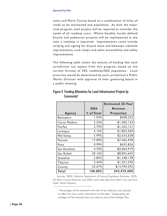town, and Marin County based on a combination of miles of roads to be maintained and population. As with the major road program, each project will be required to consider the needs of all roadway users. Where feasible, locally defined bicycle and pedestrian projects will be implemented at the time a roadway is improved. Improvements could include striping and signing for bicycle lanes and bikeways, sidewalk improvements, curb ramps, and other accessibility and safety improvements.

The following table shows the amount of funding that each jurisdiction can expect from this program, based on the current formula of 50% roadmiles/50% population. Local priorities would be determined by each jurisdiction's Public Works Director with approval of their governing board in a public meeting.

|                  |            | <b>Estimated 20-Year</b> |
|------------------|------------|--------------------------|
|                  | 2004       | Revenue                  |
| Agency           | % of Total | Projection               |
| <b>Belvedere</b> | 1.04%      | \$458,232                |
| Corte Madera     | 3.20%      | \$1,405,124              |
| Fairfax          | 2.79%      | \$1,225,121              |
| Larkspur         | 4.16%      | \$1,825,569              |
| Mill Valley      | 5.99%      | \$2,633,638              |
| Novato           | 17.00%     | \$7,466,928              |
| Ross             | 0.99%      | \$435,826                |
| San Anselmo      | 4.70%      | \$2,064,919              |
| San Rafael       | 20.16%     | \$8,855,643              |
| Sausalito        | 2.84%      | \$1,248,178              |
| Tiburon          | 3.46%      | \$1,521,530              |
| County           | 33.67%     | \$14,794,292             |
| Total            | 100.00%    | \$43,935,000             |

### Figure 3 Funding Allocations for Local Infrastructure Projects by Community3

Sources: 2004 California Department of Finance Population Estimates, 2003- 04 Marin County Road List, and 2004 road miles data from Marin City and Town Public Works Directors.

<sup>&</sup>lt;sup>3</sup> Percentages will be reviewed at the start of tax collection and adjusted to reflect the most current information on that date. Subsequently, percentages will be reviewed every two years as part of the Strategic Plan.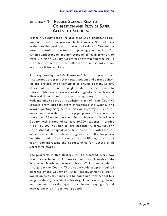## STRATEGY 4 – REDUCE SCHOOL RELATED CONGESTION AND PROVIDE SAFER ACCESS TO SCHOOLS.

In Marin County, school-related trips are a significant component of traffic congestion. In fact, over 21% of all trips in the morning peak period are school related. Congestion around schools is a serious and growing problem both for families with students and non-students alike. Everyone who travels in Marin County recognizes how much lighter traffic is on days when schools are off, even when it is not a common day off for workers.

A survey done by the Safe Routes to Schools program shows that without programs that target student and parent behavior and provide safe alternatives to driving, as many as 80% of students are driven in single student occupant autos to school. This creates severe local congestion at arrival and dismissal times, as well as deteriorating safety for those that walk and bike to school. In addition, many of Marin County's schools draw students from throughout the County and beyond, putting many school trips on Highway 101 and the major roads traveled for all trip purposes. There are currently over 75 elementary, middle, and high schools in Marin County, with a total of at least 40,000 students in grades K-12 – 50,000 including college students. Clearly, reducing single student occupant auto trips to schools will have the immediate benefit of reduced congestion, as well as long-term benefits to public health, the creation of lifelong sustainable habits, and increasing the opportunities for success of all alternative modes.

The programs in this strategy will be assessed every two years by the Technical Advisory Committee, through a public process involving parents, school officials, and students throughout the County. These countywide programs will be managed by the County of Marin. This investment of transportation sales tax funds will be combined with school bus projects already described in Strategy 1, to make a significant improvement in local congestion while encouraging safe and healthy behavior in our young people.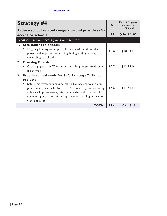| <b>Strategy #4</b>                                                                                                                                                                                                                                                                                                                         |      | Est. 20-year<br>revenue<br>(\$Millions) |
|--------------------------------------------------------------------------------------------------------------------------------------------------------------------------------------------------------------------------------------------------------------------------------------------------------------------------------------------|------|-----------------------------------------|
| Reduce school related congestion and provide safer<br>access to schools.                                                                                                                                                                                                                                                                   | 11%  | $$36.48$ M                              |
| What can school access funds be used for?                                                                                                                                                                                                                                                                                                  |      |                                         |
| 1. Safe Routes to Schools<br>Ongoing funding to support this successful and popular<br>program that promotes walking, biking, taking transit, or<br>carpooling to school                                                                                                                                                                   | 3.3% | \$10.94 M                               |
| 2. Crossing Guards<br>Crossing guards at 70 intersections along major roads serv-<br>ing schools                                                                                                                                                                                                                                           | 4.2% | $$13.93$ M                              |
| 3.<br>Provide capital funds for Safe Pathways To School<br>projects<br>Safety improvements around Marin County schools in con-<br>junction with the Safe Routes to Schools Program, including<br>sidewalk improvements, safer crosswalks and crossings, bi-<br>cycle and pedestrian safety improvements, and speed reduc-<br>tion measures | 3.5% | $$11.61$ M                              |
| <b>TOTAL</b>                                                                                                                                                                                                                                                                                                                               | 11%  | \$36.48 M                               |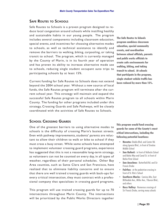### SAFE ROUTES TO SCHOOLS

Safe Routes to Schools is a proven program designed to reduce local congestion around schools while instilling healthy and sustainable habits in our young people. The program includes several components including classroom education, special events, and incentives for choosing alternative modes to schools, as well as technical assistance to identify and remove the barriers to walking, biking, carpooling, or taking transit to school. The program, which is currently managed by the County of Marin, is in its fourth year of operation and has proven its ability to increase alternative mode use to schools, reducing single student occupant auto trips to participating schools by at least 15%.

Current funding for Safe Routes to Schools does not extend beyond the 2004 school year. Without a new source of local funds, the Safe Routes program will terminate after the current school year. This strategy will maintain and expand the successful Safe Routes program to all schools within Marin County. The funding for other programs included under this strategy, Crossing Guards and Safe Pathways, will be closely coordinated with the activities of Safe Routes to Schools.

The Safe Routes to Schools program combines classroom education, special community events, and coordination between school officials, parents and public works officials to create safe environments for walking, biking, and taking transit to school. At schools that participate in the program, single student vehicle traffic has been reduced by more than 15%.

### SCHOOL CROSSING GUARDS

One of the greatest barriers to using alternative modes to schools is the difficulty of crossing Marin's busiest streets. Even with pathway improvements, students' parents are reluctant to allow their children to walk or bike to school if they must cross a busy street. While some schools have attempted to implement volunteer crossing guard programs, experience has suggested that this is not a reasonable long-term strategy, as volunteers can not be counted on every day, in all types of weather, regardless of their personal schedules. Other Bay Area counties, such as Santa Clara and San Francisco, have realized that to eliminate liability concerns and to ensure that there are well trained crossing guards with back-ups for every critical intersection, they must contract with a professional company that specializes in crossing guard programs.

This program will use trained crossing guards for up to 70 intersections throughout Marin County. The intersections will be prioritized by the Public Works Directors together

This program would fund crossing guards for some of the County's most critical intersections, including the following potential locations:

- **Novato:** Diablo Blvd. and Center Rd. along Ignacio Blvd., in front of Sinaloa Middle School
- **San Rafael:** in front of Vallecito School and Bahia Way and Canal St. in front of Bahia Vista School
- **San Anselmo:** Butterfield Rd. and Sir Francis Drake
- **Fairfax:** at the pedestrian crossing in front of St. Rita's School
- **Southern Marin: Camino Alto, East** Blithedale Ave., Miller Ave., Tiburon Blvd., and others
- **Ross Valley: Numerous crossings of** Sir Francis Drake, serving many schools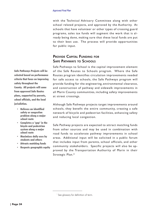with the Technical Advisory Committee along with other school related projects, and approved by the Authority. At schools that have volunteer or other types of crossing guard programs, sales tax funds will augment the work that is already being done, making sure that these local funds are put to their best use. The process will provide opportunities for public input.

### PROVIDE CAPITAL FUNDING FOR SAFE PATHWAYS TO SCHOOLS

Safe Pathways to School is the capital improvement element of the Safe Routes to Schools program. Where the Safe Routes program identifies circulation improvements needed for safe access to schools, the Safe Pathways program will provide funding for the engineering, environmental clearance, and construction of pathway and sidewalk improvements in all Marin County communities, including safety improvements at street crossings.

Although Safe Pathways projects target improvements around schools, they benefit the entire community, creating a safe network of bicycle and pedestrian facilities, enhancing safety and reducing local congestion.

Safe Pathway projects are expected to attract matching funds from other sources and may be used in combination with road funds to accelerate pathway improvements in school areas. Additional input will be solicited in a public forum that includes input from parents, school officials, and other community stakeholders. Specific projects will also be approved by the Transportation Authority of Marin in their Strategic Plan.\*

Safe Pathways Projects will be selected based on performance criteria that focus on improving safety throughout the County. All projects will come from approved Safe Routes plans, supported by parents, school officials, and the local iurisdiction.

- Relieves an identified safety or congestion problem along a major school route
- Completes a "gap" in the bicycle and pedestrian system along a major school route
- Maximizes daily uses by students and others
- Attracts matching funds
- Respects geographic equity

<sup>\*</sup> See glossary for definition of term.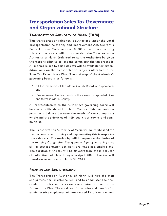# Transportation Sales Tax Governance and Organizational Structure

### TRANSPORTATION AUTHORITY OF MARIN (TAM)

This transportation sales tax is authorized under the Local Transportation Authority and Improvement Act, California Public Utilities Code Section 180000 et. seq. In approving this tax, the voters will authorize that the Transportation Authority of Marin (referred to as the Authority) be given the responsibility to collect and administer the tax proceeds. All monies raised by this sales tax will be available for expenditure only on the transportation projects identified in the Sales Tax Expenditure Plan. The make-up of the Authority's governing board is as follows:

- All five members of the Marin County Board of Supervisors, and
- One representative from each of the eleven incorporated cities and towns in Marin County.

All representatives to the Authority's governing board will be elected officials within Marin County. This composition provides a balance between the needs of the county as a whole and the priorities of individual cities, towns, and communities.

The Transportation Authority of Marin will be established for the purpose of authorizing and implementing this transportation sales tax. The Authority will incorporate the duties of the existing Congestion Management Agency, ensuring that all key transportation decisions are made in a single place. The duration of the tax will be 20 years from the initial year of collection, which will begin in April 2005. The tax will therefore terminate on March 31, 2025.

### STAFFING AND ADMINISTRATION

The Transportation Authority of Marin will hire the staff and professional assistance required to administer the proceeds of this tax and carry out the mission outlined in the Expenditure Plan. The total cost for salaries and benefits for administrative employees will not exceed 1% of the revenues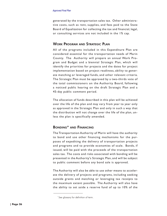generated by the transportation sales tax. Other administrative costs, such as rent, supplies, and fees paid to the State Board of Equalization for collecting the tax and financial, legal, or consulting services are not included in the 1% cap.

### WORK PROGRAM AND STRATEGIC PLAN

All of the programs included in this Expenditure Plan are considered essential for the transportation needs of Marin County. The Authority will prepare an annual Work Program and Budget and a biennial Strategic Plan, which will identify the priorities for projects and the dates for project implementation based on project readiness, ability to generate matching or leveraged funds, and other relevant criteria. The Strategic Plan must be approved by a two-thirds vote of the total commissioners on the Authority Board, following a noticed public hearing on the draft Strategic Plan and a 45-day public comment period.

The allocation of funds described in this plan will be achieved over the life of the plan and may vary from year to year only as approved in the Strategic Plan and only in such a way that the distribution will not change over the life of the plan, unless the plan is specifically amended.

### BONDING\* AND FINANCING

The Transportation Authority of Marin will have the authority to bond and use other financing mechanisms for the purposes of expediting the delivery of transportation projects and programs and to provide economies of scale. Bonds, if issued, will be paid with the proceeds of the transportation sales tax. The costs and risks associated with bonding will be presented in the Authority's Strategic Plan, and will be subject to public comment before any bond sale is approved.

The Authority will also be able to use other means to accelerate the delivery of projects and programs, including seeking outside grants and matching or leveraging tax receipts to the maximum extent possible. The Authority will also have the ability to set aside a reserve fund of up to 10% of the

<sup>\*</sup> See glossary for definition of term.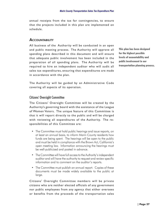annual receipts from the tax for contingencies, to ensure that the projects included in this plan are implemented on schedule.

#### **ACCOUNTABILITY**

All business of the Authority will be conducted in an open and public meeting process. The Authority will approve all spending plans described in this document and will ensure that adequate public involvement has been included in the preparation of all spending plans. The Authority will be required to hire an independent auditor who will audit all sales tax expenditures, ensuring that expenditures are made in accordance with the plan.

This plan has been designed for the highest possible levels of accountability and public involvement in our transportation planning process.

The Authority will be guided by an Administrative Code covering all aspects of its operation.

#### Citizens' Oversight Committee

The Citizens' Oversight Committee will be created by the Authority's governing board with the assistance of the League of Women Voters. The unique feature of this Committee is that it will report directly to the public and will be charged with reviewing all expenditures of the Authority. The responsibilities of this Committee are:

- The Committee must hold public hearings and issue reports, on at least an annual basis, to inform Marin County residents how funds are being spent. The hearings will be open to the public and must be held in compliance with the Brown Act, California's open meeting law. Information announcing the hearings must be well-publicized and posted in advance.
- The Committee will have full access to the Authority's independent auditor and will have the authority to request and review specific information and to comment on the auditor's reports.
- The Committee must publish an annual report. Copies of these documents must be made widely available to the public at large.

Citizens' Oversight Committee members will be private citizens who are neither elected officials of any government nor public employees from any agency that either oversees or benefits from the proceeds of the transportation sales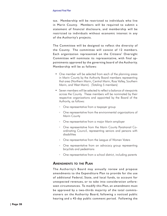#### *Approved Final Plan*

tax. Membership will be restricted to individuals who live in Marin County. Members will be required to submit a statement of financial disclosure, and membership will be restricted to individuals without economic interest in any of the Authority's projects.

The Committee will be designed to reflect the diversity of the County. The committee will consist of 12 members. Each organization represented on the Citizens' Oversight Committee will nominate its representative, with final appointments approved by the governing board of the Authority. Membership will be as follows:

- One member will be selected from each of the planning areas in Marin County by the Authority Board members representing that area (Northern Marin, Central Marin, Ross Valley, Southern Marin, and West Marin). (Totaling 5 members)
- Seven members will be selected to reflect a balance of viewpoints across the County. These members will be nominated by their respective organizations and appointed by the Board of the Authority, as follows:
	- ° One representative from a taxpayer group
	- ° One representative from the environmental organizations of Marin County
	- ° One representative from a major Marin employer
	- ° One representative from the Marin County Paratransit Coordinating Council, representing seniors and persons with disabilities
	- ° One representative from the League of Women Voters
	- ° One representative from an advocacy group representing bicyclists and pedestrians
	- ° One representative from a school district, including parents

### AMENDMENTS TO THE PLAN

The Authority's Board may annually review and propose amendments to the Expenditure Plan to provide for the use of additional Federal, State, and local funds, to account for unexpected revenues, or to take into consideration unforeseen circumstances. To modify this Plan, an amendment must be approved by a two-thirds majority of the total commissioners on the Authority Board, following a noticed public hearing and a 45-day public comment period. Following the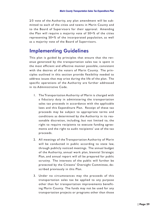2⁄3 vote of the Authority, any plan amendment will be submitted to each of the cities and towns in Marin County and to the Board of Supervisors for their approval. Amending the Plan will require a majority vote of 50+% of the cities representing 50+% of the incorporated population, as well as a majority vote of the Board of Supervisors.

## Implementing Guidelines

This plan is guided by principles that ensure that the revenue generated by the transportation sales tax is spent in the most efficient and effective manner possible, consistent with the desires of the voters of Marin County. The principles outlined in this section provide flexibility needed to address issues that may arise during the life of the plan. The specific operations of the Authority are further addressed in its Administrative Code.

- 1. The Transportation Authority of Marin is charged with a fiduciary duty in administering the transportation sales tax proceeds in accordance with the applicable laws and this Expenditure Plan. Receipt of these tax proceeds may be subject to appropriate terms and conditions as determined by the Authority in its reasonable discretion, including, but not limited to, the right to require recipients to execute funding agreements and the right to audit recipients' use of the tax proceeds.
- 2. All meetings of the Transportation Authority of Marin will be conducted in public according to state law, through publicly noticed meetings. The annual budget of the Authority, annual work plan, biennial Strategic Plan, and annual report will all be prepared for public scrutiny. The interests of the public will further be protected by the Citizens' Oversight Committee, described previously in this Plan.
- 3. Under no circumstances may the proceeds of this transportation sales tax be applied to any purpose other than for transportation improvements benefiting Marin County. The funds may not be used for any transportation projects or programs other than those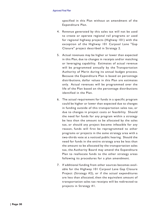#### *Approved Final Plan*

specified in this Plan without an amendment of the Expenditure Plan.

- 4. Revenue generated by this sales tax will not be used to create or operate regional rail programs or used for regional highway projects (Highway 101) with the exception of the Highway 101 Carpool Lane "Gap Closure" project described in Strategy 2.
- 5. Actual revenues may be higher or lower than expected in this Plan, due to changes in receipts and/or matching or leveraging capability. Estimates of actual revenue will be programmed annually by the Transportation Authority of Marin during its annual budget process. Because the Expenditure Plan is based on percentage distributions, dollar values in this Plan are estimates only. Actual revenues will be programmed over the life of the Plan based on the percentage distributions identified in the Plan.
- 6. The actual requirement for funds in a specific program could be higher or lower than expected due to changes in funding outside of this transportation sales tax, or due to changes in project costs or feasibility. Should the need for funds for any program within a strategy be less than the amount to be allocated by the sales tax, or should any project become infeasible for any reason, funds will first be reprogrammed to other programs or projects in the same strategy area with a two-thirds vote at a noticed public hearing. Should the need for funds in the entire strategy area be less than the amount to be allocated by the transportation sales tax, the Authority Board may amend the Expenditure Plan to reallocate funds to the other strategy areas following its procedures for a plan amendment.
- 7. If additional funding from other sources becomes available for the Highway 101 Carpool Lane Gap Closure Project (Strategy #2), or if the actual expenditures are less than allocated, then the equivalent amount of transportation sales tax receipts will be redirected to projects in Strategy #1.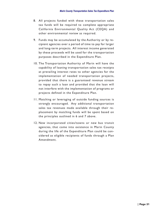- 8. All projects funded with these transportation sales tax funds will be required to complete appropriate California Environmental Quality Act (CEQA) and other environmental review as required.
- 9. Funds may be accumulated by the Authority or by recipient agencies over a period of time to pay for larger and long-term projects. All interest income generated by these proceeds will be used for the transportation purposes described in the Expenditure Plan.
- 10. The Transportation Authority of Marin will have the capability of loaning transportation sales tax receipts at prevailing interest rates to other agencies for the implementation of needed transportation projects, provided that there is a guaranteed revenue stream to repay such a loan and provided that the loan will not interfere with the implementation of programs or projects defined in the Expenditure Plan.
- 11. Matching or leveraging of outside funding sources is strongly encouraged. Any additional transportation sales tax revenues made available through their replacement by matching funds will be spent based on the principles outlined in 6 and 7 above.
- 12. New incorporated cities/towns or new bus transit agencies, that come into existence in Marin County during the life of the Expenditure Plan could be considered as eligible recipients of funds through a Plan Amendment.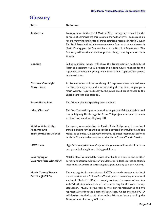# **Glossary**

| <b>Term</b>                                                                       | <b>Definition</b>                                                                                                                                                                                                                                                                                                                                                                                                                                                                                                                                                       |
|-----------------------------------------------------------------------------------|-------------------------------------------------------------------------------------------------------------------------------------------------------------------------------------------------------------------------------------------------------------------------------------------------------------------------------------------------------------------------------------------------------------------------------------------------------------------------------------------------------------------------------------------------------------------------|
| <b>Authority</b>                                                                  | Transportation Authority of Marin (TAM) - an agency created for the<br>purpose of administering this sales tax, the Authority will be responsible<br>for programming funding for all transportation programs in Marin County.<br>The TAM Board will include representatives from each city and town in<br>Marin County, plus the five members of the Board of Supervisors. The<br>Authority will function as the Congestion Management Agency for Marin<br>County.                                                                                                      |
| <b>Bonding</b>                                                                    | Selling municipal bonds will allow the Transportation Authority of<br>Marin to accelerate capital projects by pledging future revenues for the<br>repayment of bonds and getting needed capital funds "up front" for project<br>implementation.                                                                                                                                                                                                                                                                                                                         |
| <b>Citizens' Oversight</b><br><b>Committee</b>                                    | A 12-member committee consisting of 5 representatives selected from<br>the five planning areas and 7 representing diverse interest groups in<br>Marin County. Reports directly to the public on all issues related to the<br>Expenditure Plan and sales tax.                                                                                                                                                                                                                                                                                                            |
| <b>Expenditure Plan</b>                                                           | The 20-year plan for spending sales tax funds.                                                                                                                                                                                                                                                                                                                                                                                                                                                                                                                          |
| "Gap Closure"                                                                     | The Gap Closure Project includes the completion of the bus and carpool<br>lane on Highway 101 through San Rafael. This project is designed to relieve<br>a critical bottleneck on Highway 101.                                                                                                                                                                                                                                                                                                                                                                          |
| <b>Golden Gate Bridge</b><br><b>Highway and</b><br><b>Transportation District</b> | The agency responsible for the Golden Gate Bridge, as well as regional<br>transit including ferries and bus service between Sonoma, Marin, and San<br>Francisco counties. Golden Gate currently operates local transit services<br>in Marin County under contract to the Marin County Transit District.                                                                                                                                                                                                                                                                 |
| <b>HOV Lane</b>                                                                   | High Occupancy Vehicle or Carpool lane, open to vehicles with 2 or more<br>occupants, including buses, during peak hours.                                                                                                                                                                                                                                                                                                                                                                                                                                               |
| Leveraging or<br><b>Leverage (also Matching)</b>                                  | Matching local sales tax dollars with other funds on a one-to-one or other<br>percentage basis from local, regional, State, or Federal sources, to stretch<br>local sales tax dollars by attracting new grant funding to Marin County.                                                                                                                                                                                                                                                                                                                                  |
| <b>Marin County Transit</b><br><b>District (MCTD)</b>                             | The existing local transit district, MCTD currently contracts for local<br>transit services with Golden Gate Transit, which currently operates local<br>services in Marin. MCTD also currently contracts for paratransit services<br>with Whistlestop Wheels, as well as contracting for the West County<br>Stagecoach. MCTD is governed by two city representatives and five<br>representatives from the Board of Supervisors. Under the plan, MCTD<br>will develop detailed transit plans with public input for approval by the<br>Transportation Authority of Marin. |